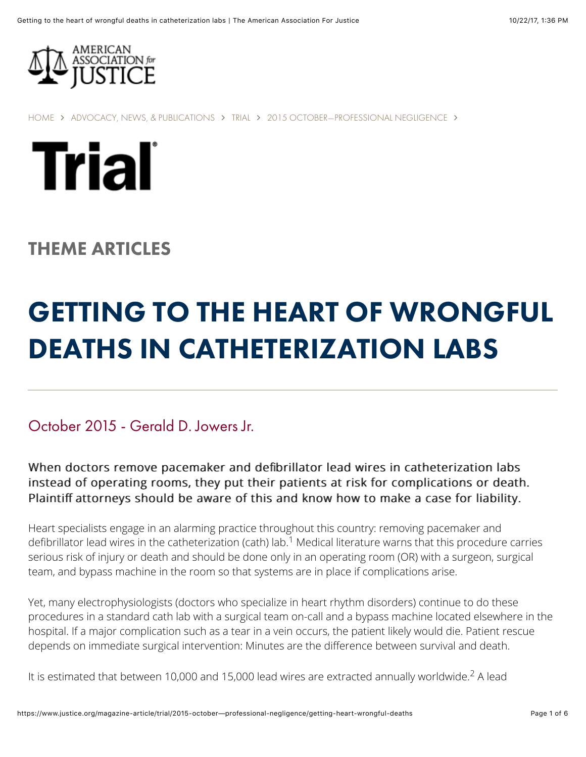

[HOME](https://www.justice.org/) ∠ [ADVOCACY, NEWS, & PUBLICATIONS](https://www.justice.org/advocacy-news-and-publications) ∠ [TRIAL](https://www.justice.org/trial) ∠ [2015 OCTOBER—PROFESSIONAL NEGLIGENCE](https://www.justice.org/magazine/trial/2015-october%E2%80%94professional-negligence) ∠



## THEME ARTICLES

# GETTING TO THE HEART OF WRONGFUL DEATHS IN CATHETERIZATION LABS

October 2015 - Gerald D. Jowers Jr.

When doctors remove pacemaker and defibrillator lead wires in catheterization labs instead of operating rooms, they put their patients at risk for complications or death. Plaintiff attorneys should be aware of this and know how to make a case for liability.

Heart specialists engage in an alarming practice throughout this country: removing pacemaker and defibrillator lead wires in the catheterization (cath) lab. $^1$  Medical literature warns that this procedure carries serious risk of injury or death and should be done only in an operating room (OR) with a surgeon, surgical team, and bypass machine in the room so that systems are in place if complications arise.

Yet, many electrophysiologists (doctors who specialize in heart rhythm disorders) continue to do these procedures in a standard cath lab with a surgical team on-call and a bypass machine located elsewhere in the hospital. If a major complication such as a tear in a vein occurs, the patient likely would die. Patient rescue depends on immediate surgical intervention: Minutes are the difference between survival and death.

It is estimated that between 10,000 and 15,000 lead wires are extracted annually worldwide.<sup>2</sup> A lead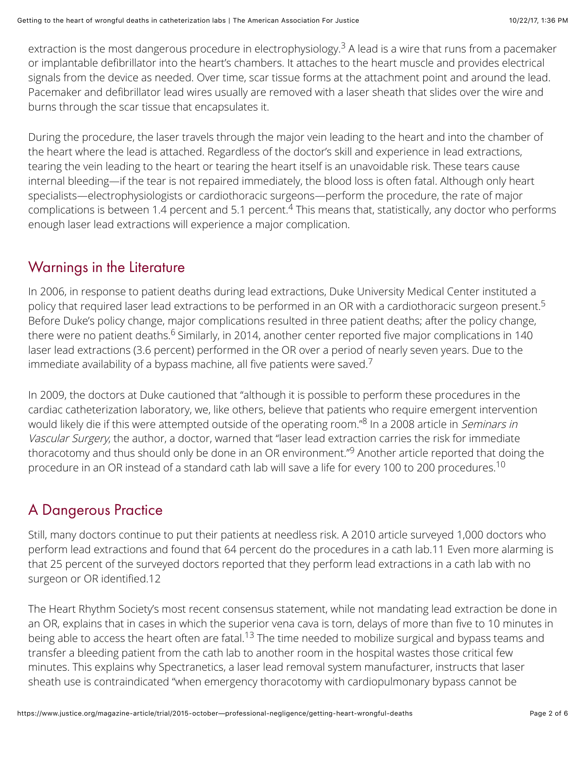extraction is the most dangerous procedure in electrophysiology.<sup>3</sup> A lead is a wire that runs from a pacemaker or implantable defibrillator into the heart's chambers. It attaches to the heart muscle and provides electrical signals from the device as needed. Over time, scar tissue forms at the attachment point and around the lead. Pacemaker and defibrillator lead wires usually are removed with a laser sheath that slides over the wire and burns through the scar tissue that encapsulates it.

During the procedure, the laser travels through the major vein leading to the heart and into the chamber of the heart where the lead is attached. Regardless of the doctor's skill and experience in lead extractions, tearing the vein leading to the heart or tearing the heart itself is an unavoidable risk. These tears cause internal bleeding—if the tear is not repaired immediately, the blood loss is often fatal. Although only heart specialists—electrophysiologists or cardiothoracic surgeons—perform the procedure, the rate of major complications is between 1.4 percent and 5.1 percent. $4$  This means that, statistically, any doctor who performs enough laser lead extractions will experience a major complication.

#### Warnings in the Literature

In 2006, in response to patient deaths during lead extractions, Duke University Medical Center instituted a policy that required laser lead extractions to be performed in an OR with a cardiothoracic surgeon present. 5 Before Duke's policy change, major complications resulted in three patient deaths; after the policy change, there were no patient deaths.<sup>6</sup> Similarly, in 2014, another center reported five major complications in 140 laser lead extractions (3.6 percent) performed in the OR over a period of nearly seven years. Due to the immediate availability of a bypass machine, all five patients were saved.<sup>7</sup>

In 2009, the doctors at Duke cautioned that "although it is possible to perform these procedures in the cardiac catheterization laboratory, we, like others, believe that patients who require emergent intervention would likely die if this were attempted outside of the operating room."<sup>8</sup> In a 2008 article in *Seminars in* Vascular Surgery, the author, a doctor, warned that "laser lead extraction carries the risk for immediate thoracotomy and thus should only be done in an OR environment."<sup>9</sup> Another article reported that doing the procedure in an OR instead of a standard cath lab will save a life for every 100 to 200 procedures. 10

## A Dangerous Practice

Still, many doctors continue to put their patients at needless risk. A 2010 article surveyed 1,000 doctors who perform lead extractions and found that 64 percent do the procedures in a cath lab.11 Even more alarming is that 25 percent of the surveyed doctors reported that they perform lead extractions in a cath lab with no surgeon or OR identified.12

The Heart Rhythm Society's most recent consensus statement, while not mandating lead extraction be done in an OR, explains that in cases in which the superior vena cava is torn, delays of more than five to 10 minutes in being able to access the heart often are fatal.<sup>13</sup> The time needed to mobilize surgical and bypass teams and transfer a bleeding patient from the cath lab to another room in the hospital wastes those critical few minutes. This explains why Spectranetics, a laser lead removal system manufacturer, instructs that laser sheath use is contraindicated "when emergency thoracotomy with cardiopulmonary bypass cannot be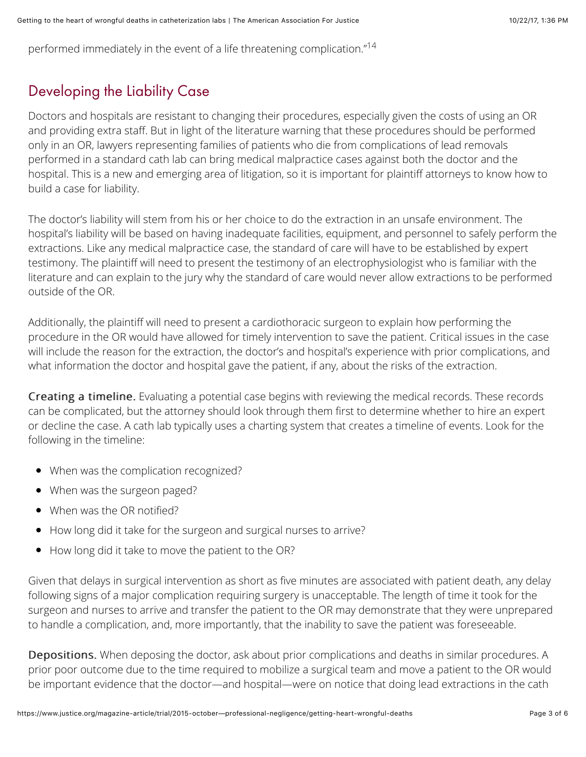performed immediately in the event of a life threatening complication."<sup>14</sup>

### Developing the Liability Case

Doctors and hospitals are resistant to changing their procedures, especially given the costs of using an OR and providing extra staff. But in light of the literature warning that these procedures should be performed only in an OR, lawyers representing families of patients who die from complications of lead removals performed in a standard cath lab can bring medical malpractice cases against both the doctor and the hospital. This is a new and emerging area of litigation, so it is important for plaintiff attorneys to know how to build a case for liability.

The doctor's liability will stem from his or her choice to do the extraction in an unsafe environment. The hospital's liability will be based on having inadequate facilities, equipment, and personnel to safely perform the extractions. Like any medical malpractice case, the standard of care will have to be established by expert testimony. The plaintiff will need to present the testimony of an electrophysiologist who is familiar with the literature and can explain to the jury why the standard of care would never allow extractions to be performed outside of the OR.

Additionally, the plaintiff will need to present a cardiothoracic surgeon to explain how performing the procedure in the OR would have allowed for timely intervention to save the patient. Critical issues in the case will include the reason for the extraction, the doctor's and hospital's experience with prior complications, and what information the doctor and hospital gave the patient, if any, about the risks of the extraction.

Creating a timeline. Evaluating a potential case begins with reviewing the medical records. These records can be complicated, but the attorney should look through them first to determine whether to hire an expert or decline the case. A cath lab typically uses a charting system that creates a timeline of events. Look for the following in the timeline:

- When was the complication recognized?
- When was the surgeon paged?
- When was the OR notified?
- How long did it take for the surgeon and surgical nurses to arrive?
- How long did it take to move the patient to the OR?

Given that delays in surgical intervention as short as five minutes are associated with patient death, any delay following signs of a major complication requiring surgery is unacceptable. The length of time it took for the surgeon and nurses to arrive and transfer the patient to the OR may demonstrate that they were unprepared to handle a complication, and, more importantly, that the inability to save the patient was foreseeable.

Depositions. When deposing the doctor, ask about prior complications and deaths in similar procedures. A prior poor outcome due to the time required to mobilize a surgical team and move a patient to the OR would be important evidence that the doctor—and hospital—were on notice that doing lead extractions in the cath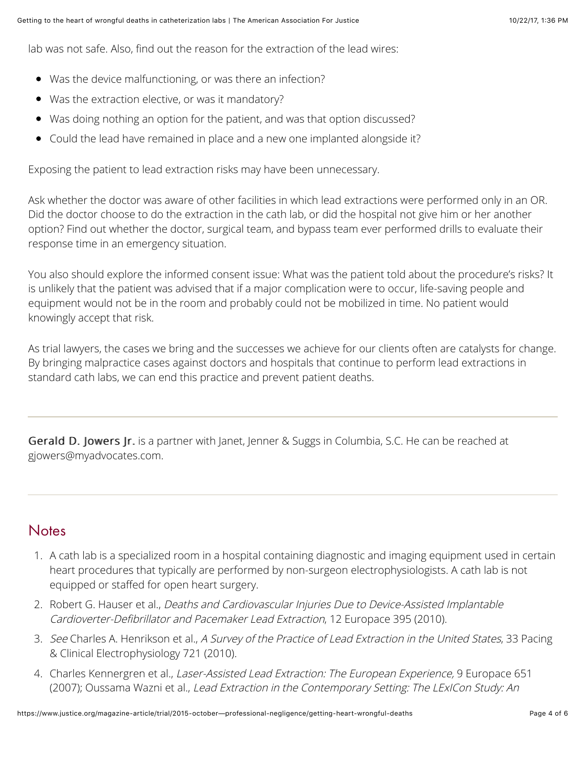lab was not safe. Also, find out the reason for the extraction of the lead wires:

- Was the device malfunctioning, or was there an infection?
- Was the extraction elective, or was it mandatory?
- Was doing nothing an option for the patient, and was that option discussed?
- Could the lead have remained in place and a new one implanted alongside it?

Exposing the patient to lead extraction risks may have been unnecessary.

Ask whether the doctor was aware of other facilities in which lead extractions were performed only in an OR. Did the doctor choose to do the extraction in the cath lab, or did the hospital not give him or her another option? Find out whether the doctor, surgical team, and bypass team ever performed drills to evaluate their response time in an emergency situation.

You also should explore the informed consent issue: What was the patient told about the procedure's risks? It is unlikely that the patient was advised that if a major complication were to occur, life-saving people and equipment would not be in the room and probably could not be mobilized in time. No patient would knowingly accept that risk.

As trial lawyers, the cases we bring and the successes we achieve for our clients often are catalysts for change. By bringing malpractice cases against doctors and hospitals that continue to perform lead extractions in standard cath labs, we can end this practice and prevent patient deaths.

Gerald D. Jowers Jr. is a partner with Janet, Jenner & Suggs in Columbia, S.C. He can be reached at [gjowers@myadvocates.com](mailto:gjowers@myadvocates.com).

#### **Notes**

- 1. A cath lab is a specialized room in a hospital containing diagnostic and imaging equipment used in certain heart procedures that typically are performed by non-surgeon electrophysiologists. A cath lab is not equipped or staffed for open heart surgery.
- 2. Robert G. Hauser et al., Deaths and Cardiovascular Injuries Due to Device-Assisted Implantable Cardioverter-Defibrillator and Pacemaker Lead Extraction, 12 Europace 395 (2010).
- 3. See Charles A. Henrikson et al., A Survey of the Practice of Lead Extraction in the United States, 33 Pacing & Clinical Electrophysiology 721 (2010).
- 4. Charles Kennergren et al., Laser-Assisted Lead Extraction: The European Experience, 9 Europace 651 (2007); Oussama Wazni et al., Lead Extraction in the Contemporary Setting: The LExICon Study: An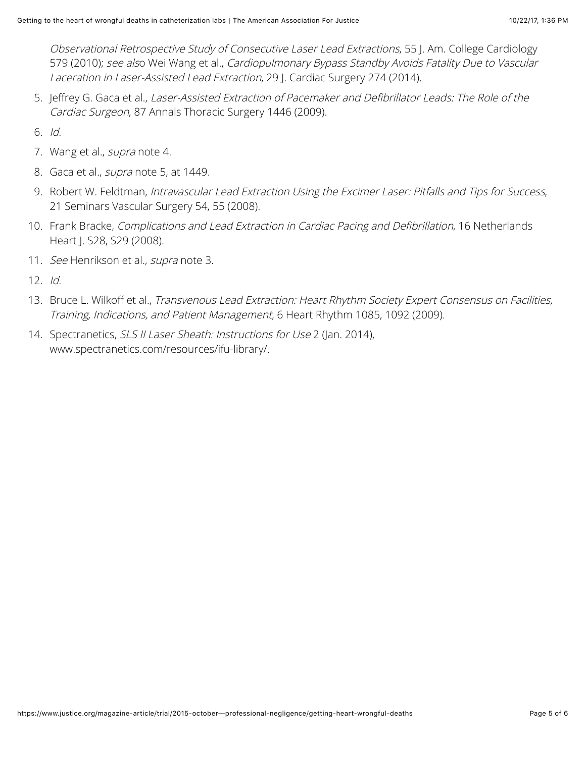Observational Retrospective Study of Consecutive Laser Lead Extractions, 55 J. Am. College Cardiology 579 (2010); see also Wei Wang et al., Cardiopulmonary Bypass Standby Avoids Fatality Due to Vascular Laceration in Laser-Assisted Lead Extraction, 29 J. Cardiac Surgery 274 (2014).

5. Jeffrey G. Gaca et al., Laser-Assisted Extraction of Pacemaker and Defibrillator Leads: The Role of the Cardiac Surgeon, 87 Annals Thoracic Surgery 1446 (2009).

6. Id.

- 7. Wang et al., supra note 4.
- 8. Gaca et al., *supra* note 5, at 1449.
- 9. Robert W. Feldtman, Intravascular Lead Extraction Using the Excimer Laser: Pitfalls and Tips for Success, 21 Seminars Vascular Surgery 54, 55 (2008).
- 10. Frank Bracke, Complications and Lead Extraction in Cardiac Pacing and Defibrillation, 16 Netherlands Heart J. S28, S29 (2008).
- 11. See Henrikson et al., supra note 3.
- 12. Id.
- 13. Bruce L. Wilkoff et al., Transvenous Lead Extraction: Heart Rhythm Society Expert Consensus on Facilities, Training, Indications, and Patient Management, 6 Heart Rhythm 1085, 1092 (2009).
- 14. Spectranetics, SLS II Laser Sheath: Instructions for Use 2 (Jan. 2014), [www.spectranetics.com/resources/ifu-library/](http://www.spectranetics.com/resources/ifu-library/).